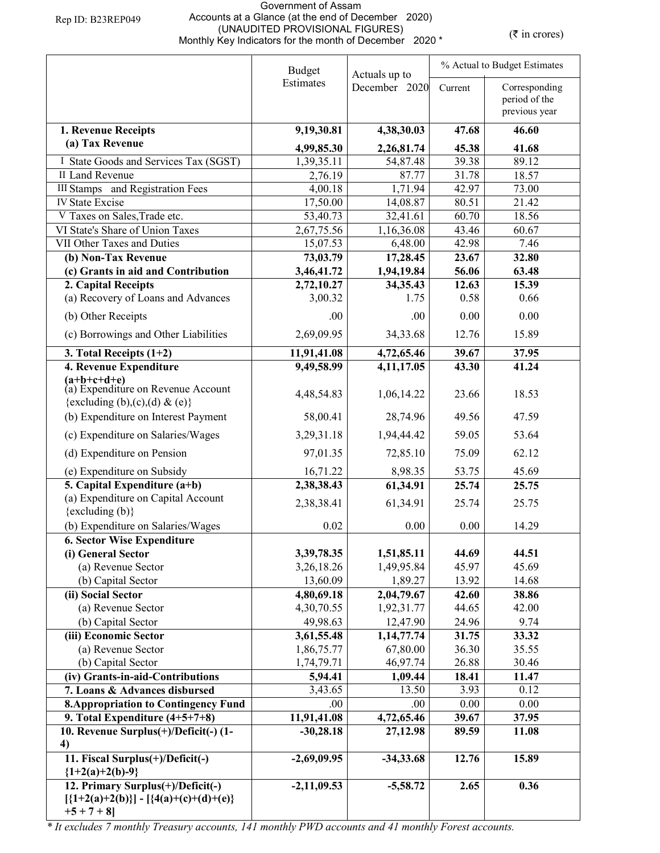## Government of Assam Accounts at a Glance (at the end of December 2020) (UNAUDITED PROVISIONAL FIGURES) (UNAUDITED PROVISIONAL FIGURES)<br>Monthly Key Indicators for the month of December 2020 \* ( $\bar{\tau}$  in crores)

|                                                          | <b>Budget</b><br>Actuals up to |                        |                | % Actual to Budget Estimates   |  |  |
|----------------------------------------------------------|--------------------------------|------------------------|----------------|--------------------------------|--|--|
|                                                          | Estimates                      | December 2020          | Current        | Corresponding<br>period of the |  |  |
|                                                          |                                |                        |                | previous year                  |  |  |
| 1. Revenue Receipts                                      | 9,19,30.81                     | 4,38,30.03             | 47.68          | 46.60                          |  |  |
| (a) Tax Revenue                                          | 4,99,85.30                     | 2,26,81.74             | 45.38          | 41.68                          |  |  |
| I State Goods and Services Tax (SGST)                    | 1,39,35.11                     | 54,87.48               | 39.38          | 89.12                          |  |  |
| II Land Revenue                                          | 2,76.19                        | 87.77                  | 31.78          | 18.57                          |  |  |
| III Stamps and Registration Fees                         | 4,00.18                        | 1,71.94                | 42.97          | 73.00                          |  |  |
| <b>IV State Excise</b>                                   | 17,50.00                       | 14,08.87               | 80.51          | 21.42                          |  |  |
| V Taxes on Sales, Trade etc.                             | 53,40.73                       | 32,41.61               | 60.70          | 18.56                          |  |  |
| VI State's Share of Union Taxes                          | 2,67,75.56                     | 1,16,36.08             | 43.46          | 60.67                          |  |  |
| VII Other Taxes and Duties                               | 15,07.53                       | 6,48.00                | 42.98          | 7.46                           |  |  |
| (b) Non-Tax Revenue                                      | 73,03.79                       | 17,28.45               | 23.67          | 32.80                          |  |  |
| (c) Grants in aid and Contribution                       | 3,46,41.72                     | 1,94,19.84             | 56.06          | 63.48                          |  |  |
| 2. Capital Receipts                                      | 2,72,10.27                     | 34,35.43               | 12.63          | 15.39                          |  |  |
| (a) Recovery of Loans and Advances                       | 3,00.32                        | 1.75                   | 0.58           | 0.66                           |  |  |
| (b) Other Receipts                                       | .00                            | .00                    | 0.00           | 0.00                           |  |  |
| (c) Borrowings and Other Liabilities                     | 2,69,09.95                     | 34, 33. 68             | 12.76          | 15.89                          |  |  |
| 3. Total Receipts $(1+2)$                                | 11,91,41.08                    | 4,72,65.46             | 39.67          | 37.95                          |  |  |
| 4. Revenue Expenditure                                   | 9,49,58.99                     | 4,11,17.05             | 43.30          | 41.24                          |  |  |
| (a+b+c+d+e)<br>(a) Expenditure on Revenue Account        |                                |                        |                |                                |  |  |
| {excluding (b),(c),(d) & (e)}                            | 4,48,54.83                     | 1,06,14.22             | 23.66          | 18.53                          |  |  |
| (b) Expenditure on Interest Payment                      | 58,00.41                       | 28,74.96               | 49.56          | 47.59                          |  |  |
| (c) Expenditure on Salaries/Wages                        | 3,29,31.18                     | 1,94,44.42             | 59.05          | 53.64                          |  |  |
| (d) Expenditure on Pension                               | 97,01.35                       | 72,85.10               | 75.09          | 62.12                          |  |  |
| (e) Expenditure on Subsidy                               | 16,71.22                       | 8,98.35                | 53.75          | 45.69                          |  |  |
| 5. Capital Expenditure (a+b)                             | 2,38,38.43                     | 61,34.91               | 25.74          | 25.75                          |  |  |
| (a) Expenditure on Capital Account                       | 2,38,38.41                     | 61,34.91               | 25.74          | 25.75                          |  |  |
| $\{excluding (b)\}$                                      |                                |                        |                |                                |  |  |
| (b) Expenditure on Salaries/Wages                        | 0.02                           | 0.00                   | 0.00           | 14.29                          |  |  |
| <b>6. Sector Wise Expenditure</b>                        |                                |                        |                |                                |  |  |
| (i) General Sector                                       | 3,39,78.35                     | 1,51,85.11             | 44.69          | 44.51                          |  |  |
| (a) Revenue Sector                                       | 3,26,18.26                     | 1,49,95.84             | 45.97          | 45.69                          |  |  |
| (b) Capital Sector                                       | 13,60.09                       | 1,89.27                | 13.92          | 14.68                          |  |  |
| (ii) Social Sector                                       | 4,80,69.18                     | 2,04,79.67             | 42.60          | 38.86                          |  |  |
| (a) Revenue Sector                                       | 4,30,70.55                     | 1,92,31.77             | 44.65          | 42.00                          |  |  |
| (b) Capital Sector                                       | 49,98.63                       | 12,47.90               | 24.96          | 9.74                           |  |  |
| (iii) Economic Sector<br>(a) Revenue Sector              | 3,61,55.48                     | 1,14,77.74<br>67,80.00 | 31.75<br>36.30 | 33.32<br>35.55                 |  |  |
| (b) Capital Sector                                       | 1,86,75.77<br>1,74,79.71       | 46,97.74               | 26.88          | 30.46                          |  |  |
| (iv) Grants-in-aid-Contributions                         | 5,94.41                        | 1,09.44                | 18.41          | 11.47                          |  |  |
| 7. Loans & Advances disbursed                            | 3,43.65                        | 13.50                  | 3.93           | 0.12                           |  |  |
| <b>8. Appropriation to Contingency Fund</b>              | .00                            | .00                    | 0.00           | 0.00                           |  |  |
| 9. Total Expenditure $(4+5+7+8)$                         | 11,91,41.08                    | 4,72,65.46             | 39.67          | 37.95                          |  |  |
| 10. Revenue Surplus(+)/Deficit(-)(1-                     | $-30,28.18$                    | 27,12.98               | 89.59          | 11.08                          |  |  |
| 4)                                                       |                                |                        |                |                                |  |  |
| 11. Fiscal Surplus(+)/Deficit(-)<br>${1+2(a)+2(b)-9}$    | $-2,69,09.95$                  | $-34,33.68$            | 12.76          | 15.89                          |  |  |
| 12. Primary Surplus(+)/Deficit(-)                        | $-2,11,09.53$                  | $-5,58.72$             | 2.65           | 0.36                           |  |  |
| $[{1+2(a)+2(b)}] - [{4(a)+(c)+(d)+(e)}]$<br>$+5 + 7 + 8$ |                                |                        |                |                                |  |  |
|                                                          |                                |                        |                |                                |  |  |

*\* It excludes 7 monthly Treasury accounts, 141 monthly PWD accounts and 41 monthly Forest accounts.*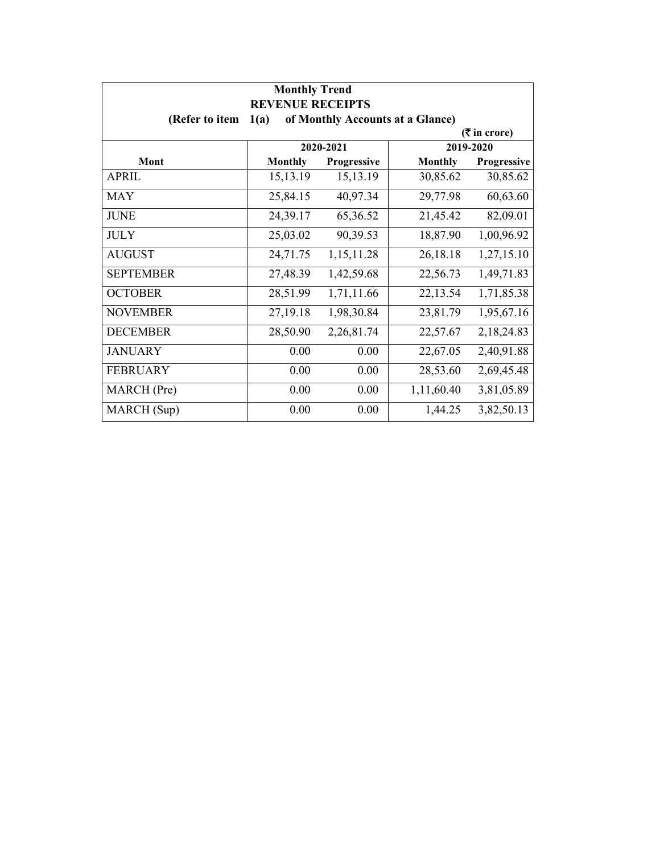| <b>Monthly Trend</b><br><b>REVENUE RECEIPTS</b> |                |             |                                  |                 |
|-------------------------------------------------|----------------|-------------|----------------------------------|-----------------|
| (Refer to item                                  | 1(a)           |             | of Monthly Accounts at a Glance) |                 |
|                                                 |                |             |                                  | $($ ₹ in crore) |
|                                                 |                | 2020-2021   |                                  | 2019-2020       |
| Mont                                            | <b>Monthly</b> | Progressive | <b>Monthly</b>                   | Progressive     |
| APRIL                                           | 15,13.19       | 15,13.19    | 30,85.62                         | 30,85.62        |
| <b>MAY</b>                                      | 25,84.15       | 40,97.34    | 29,77.98                         | 60,63.60        |
| <b>JUNE</b>                                     | 24,39.17       | 65,36.52    | 21,45.42                         | 82,09.01        |
| <b>JULY</b>                                     | 25,03.02       | 90,39.53    | 18,87.90                         | 1,00,96.92      |
| <b>AUGUST</b>                                   | 24,71.75       | 1,15,11.28  | 26,18.18                         | 1,27,15.10      |
| <b>SEPTEMBER</b>                                | 27,48.39       | 1,42,59.68  | 22,56.73                         | 1,49,71.83      |
| <b>OCTOBER</b>                                  | 28,51.99       | 1,71,11.66  | 22,13.54                         | 1,71,85.38      |
| <b>NOVEMBER</b>                                 | 27,19.18       | 1,98,30.84  | 23,81.79                         | 1,95,67.16      |
| <b>DECEMBER</b>                                 | 28,50.90       | 2,26,81.74  | 22,57.67                         | 2,18,24.83      |
| <b>JANUARY</b>                                  | 0.00           | 0.00        | 22,67.05                         | 2,40,91.88      |
| <b>FEBRUARY</b>                                 | 0.00           | 0.00        | 28,53.60                         | 2,69,45.48      |
| MARCH (Pre)                                     | 0.00           | 0.00        | 1,11,60.40                       | 3,81,05.89      |
| MARCH (Sup)                                     | 0.00           | 0.00        | 1,44.25                          | 3,82,50.13      |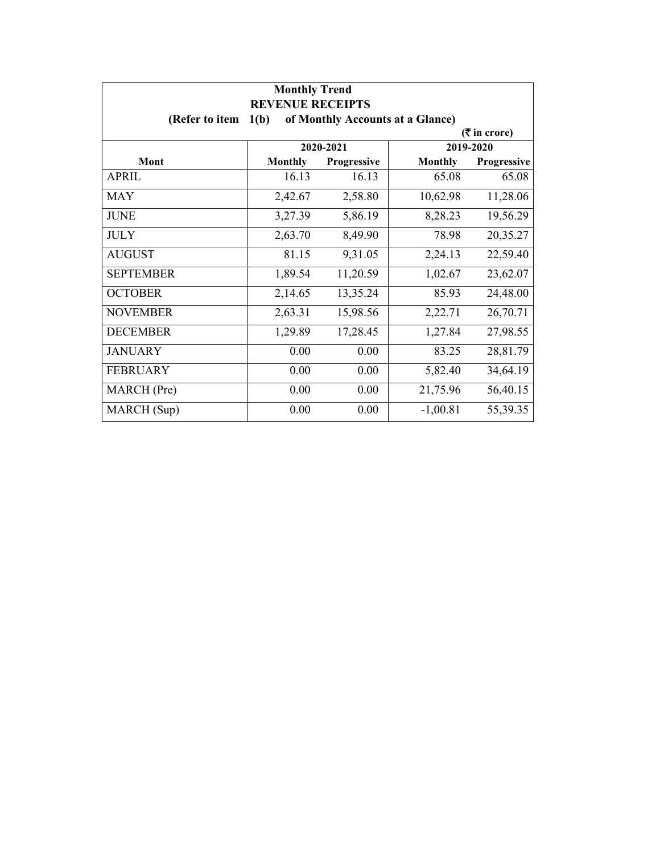| <b>Monthly Trend</b><br><b>REVENUE RECEIPTS</b> |                 |             |                                  |             |  |  |
|-------------------------------------------------|-----------------|-------------|----------------------------------|-------------|--|--|
| (Refer to item                                  | 1(b)            |             | of Monthly Accounts at a Glance) |             |  |  |
|                                                 | $($ ₹ in crore) |             |                                  |             |  |  |
|                                                 |                 | 2020-2021   |                                  | 2019-2020   |  |  |
| Mont                                            | <b>Monthly</b>  | Progressive | <b>Monthly</b>                   | Progressive |  |  |
| APRIL                                           | 16.13           | 16.13       | 65.08                            | 65.08       |  |  |
| <b>MAY</b>                                      | 2,42.67         | 2,58.80     | 10,62.98                         | 11,28.06    |  |  |
| <b>JUNE</b>                                     | 3,27.39         | 5,86.19     | 8,28.23                          | 19,56.29    |  |  |
| <b>JULY</b>                                     | 2,63.70         | 8,49.90     | 78.98                            | 20,35.27    |  |  |
| <b>AUGUST</b>                                   | 81.15           | 9,31.05     | 2,24.13                          | 22,59.40    |  |  |
| <b>SEPTEMBER</b>                                | 1,89.54         | 11,20.59    | 1,02.67                          | 23,62.07    |  |  |
| <b>OCTOBER</b>                                  | 2,14.65         | 13,35.24    | 85.93                            | 24,48.00    |  |  |
| <b>NOVEMBER</b>                                 | 2,63.31         | 15,98.56    | 2,22.71                          | 26,70.71    |  |  |
| <b>DECEMBER</b>                                 | 1,29.89         | 17,28.45    | 1,27.84                          | 27,98.55    |  |  |
| <b>JANUARY</b>                                  | 0.00            | 0.00        | 83.25                            | 28,81.79    |  |  |
| <b>FEBRUARY</b>                                 | 0.00            | 0.00        | 5,82.40                          | 34,64.19    |  |  |
| MARCH (Pre)                                     | 0.00            | 0.00        | 21,75.96                         | 56,40.15    |  |  |
| MARCH (Sup)                                     | 0.00            | 0.00        | $-1,00.81$                       | 55,39.35    |  |  |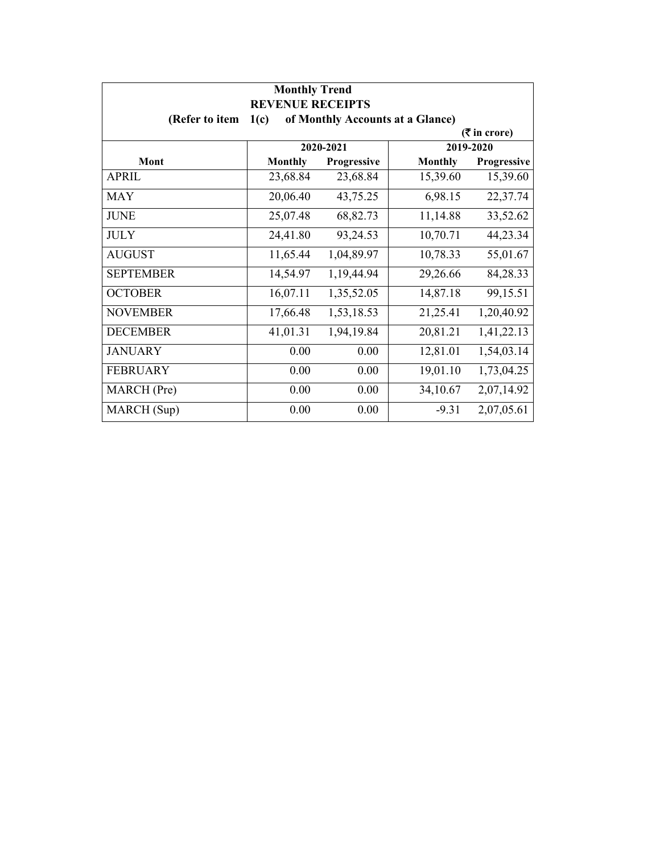| <b>Monthly Trend</b><br><b>REVENUE RECEIPTS</b> |                |             |                                  |                 |
|-------------------------------------------------|----------------|-------------|----------------------------------|-----------------|
| (Refer to item                                  | 1(c)           |             | of Monthly Accounts at a Glance) |                 |
|                                                 |                |             |                                  | $($ ₹ in crore) |
|                                                 |                | 2020-2021   |                                  | 2019-2020       |
| Mont                                            | <b>Monthly</b> | Progressive | <b>Monthly</b>                   | Progressive     |
| <b>APRIL</b>                                    | 23,68.84       | 23,68.84    | 15,39.60                         | 15,39.60        |
| <b>MAY</b>                                      | 20,06.40       | 43,75.25    | 6,98.15                          | 22,37.74        |
| <b>JUNE</b>                                     | 25,07.48       | 68,82.73    | 11,14.88                         | 33,52.62        |
| <b>JULY</b>                                     | 24,41.80       | 93,24.53    | 10,70.71                         | 44,23.34        |
| <b>AUGUST</b>                                   | 11,65.44       | 1,04,89.97  | 10,78.33                         | 55,01.67        |
| <b>SEPTEMBER</b>                                | 14,54.97       | 1,19,44.94  | 29,26.66                         | 84,28.33        |
| <b>OCTOBER</b>                                  | 16,07.11       | 1,35,52.05  | 14,87.18                         | 99,15.51        |
| <b>NOVEMBER</b>                                 | 17,66.48       | 1,53,18.53  | 21,25.41                         | 1,20,40.92      |
| <b>DECEMBER</b>                                 | 41,01.31       | 1,94,19.84  | 20,81.21                         | 1,41,22.13      |
| <b>JANUARY</b>                                  | 0.00           | 0.00        | 12,81.01                         | 1,54,03.14      |
| <b>FEBRUARY</b>                                 | 0.00           | 0.00        | 19,01.10                         | 1,73,04.25      |
| MARCH (Pre)                                     | 0.00           | 0.00        | 34,10.67                         | 2,07,14.92      |
| MARCH (Sup)                                     | 0.00           | 0.00        | $-9.31$                          | 2,07,05.61      |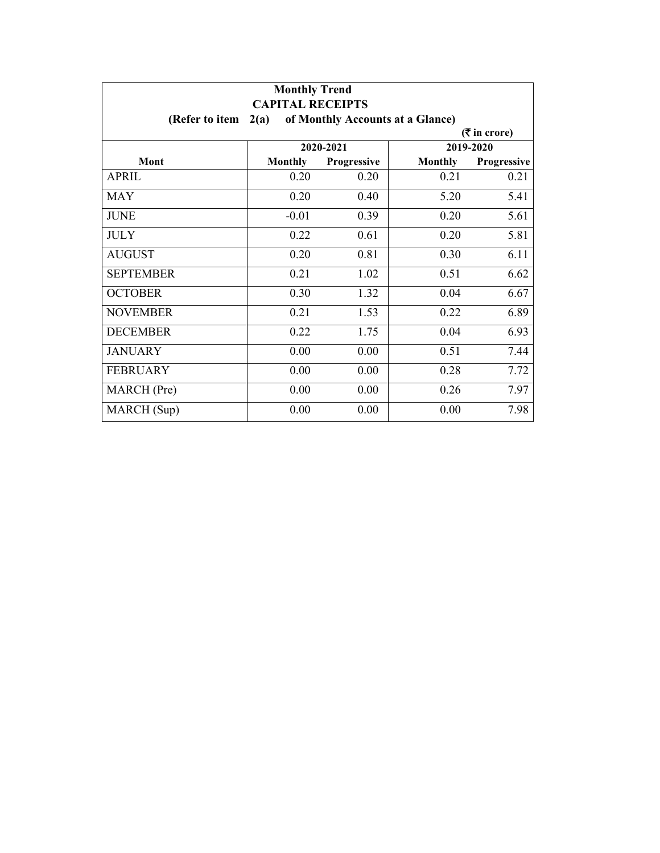| <b>Monthly Trend</b><br><b>CAPITAL RECEIPTS</b> |                 |                    |                                  |             |  |  |
|-------------------------------------------------|-----------------|--------------------|----------------------------------|-------------|--|--|
| (Refer to item                                  | 2(a)            |                    | of Monthly Accounts at a Glance) |             |  |  |
|                                                 | $($ ₹ in crore) |                    |                                  |             |  |  |
|                                                 |                 | 2020-2021          |                                  | 2019-2020   |  |  |
| Mont                                            | <b>Monthly</b>  | <b>Progressive</b> | <b>Monthly</b>                   | Progressive |  |  |
| APRIL                                           | 0.20            | 0.20               | 0.21                             | 0.21        |  |  |
| <b>MAY</b>                                      | 0.20            | 0.40               | 5.20                             | 5.41        |  |  |
| <b>JUNE</b>                                     | $-0.01$         | 0.39               | 0.20                             | 5.61        |  |  |
| <b>JULY</b>                                     | 0.22            | 0.61               | 0.20                             | 5.81        |  |  |
| <b>AUGUST</b>                                   | 0.20            | 0.81               | 0.30                             | 6.11        |  |  |
| <b>SEPTEMBER</b>                                | 0.21            | 1.02               | 0.51                             | 6.62        |  |  |
| <b>OCTOBER</b>                                  | 0.30            | 1.32               | 0.04                             | 6.67        |  |  |
| <b>NOVEMBER</b>                                 | 0.21            | 1.53               | 0.22                             | 6.89        |  |  |
| <b>DECEMBER</b>                                 | 0.22            | 1.75               | 0.04                             | 6.93        |  |  |
| <b>JANUARY</b>                                  | 0.00            | 0.00               | 0.51                             | 7.44        |  |  |
| <b>FEBRUARY</b>                                 | 0.00            | 0.00               | 0.28                             | 7.72        |  |  |
| MARCH (Pre)                                     | 0.00            | 0.00               | 0.26                             | 7.97        |  |  |
| MARCH (Sup)                                     | 0.00            | 0.00               | 0.00                             | 7.98        |  |  |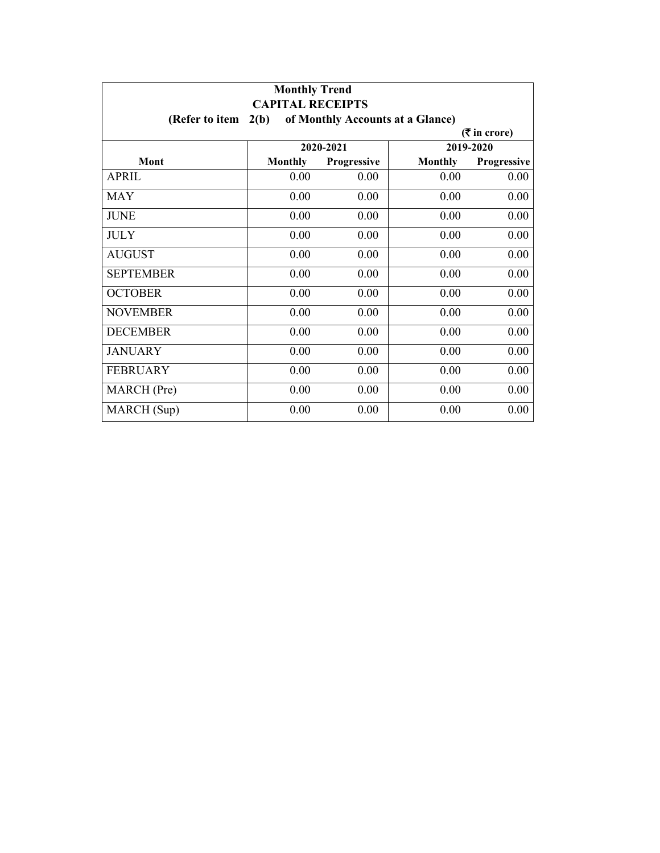| <b>Monthly Trend</b><br><b>CAPITAL RECEIPTS</b> |                |                    |                                  |             |  |  |
|-------------------------------------------------|----------------|--------------------|----------------------------------|-------------|--|--|
| (Refer to item                                  | 2(b)           |                    | of Monthly Accounts at a Glance) |             |  |  |
|                                                 | $(5$ in crore) |                    |                                  |             |  |  |
|                                                 |                | 2020-2021          |                                  | 2019-2020   |  |  |
| Mont                                            | <b>Monthly</b> | <b>Progressive</b> | <b>Monthly</b>                   | Progressive |  |  |
| APRIL                                           | 0.00           | 0.00               | 0.00                             | 0.00        |  |  |
| <b>MAY</b>                                      | 0.00           | 0.00               | 0.00                             | 0.00        |  |  |
| <b>JUNE</b>                                     | 0.00           | 0.00               | 0.00                             | 0.00        |  |  |
| <b>JULY</b>                                     | 0.00           | 0.00               | 0.00                             | 0.00        |  |  |
| <b>AUGUST</b>                                   | 0.00           | 0.00               | 0.00                             | 0.00        |  |  |
| <b>SEPTEMBER</b>                                | 0.00           | 0.00               | 0.00                             | 0.00        |  |  |
| <b>OCTOBER</b>                                  | 0.00           | 0.00               | 0.00                             | 0.00        |  |  |
| <b>NOVEMBER</b>                                 | 0.00           | 0.00               | 0.00                             | 0.00        |  |  |
| <b>DECEMBER</b>                                 | 0.00           | 0.00               | 0.00                             | 0.00        |  |  |
| <b>JANUARY</b>                                  | 0.00           | 0.00               | 0.00                             | 0.00        |  |  |
| <b>FEBRUARY</b>                                 | 0.00           | 0.00               | 0.00                             | 0.00        |  |  |
| MARCH (Pre)                                     | 0.00           | 0.00               | 0.00                             | 0.00        |  |  |
| MARCH (Sup)                                     | 0.00           | 0.00               | 0.00                             | 0.00        |  |  |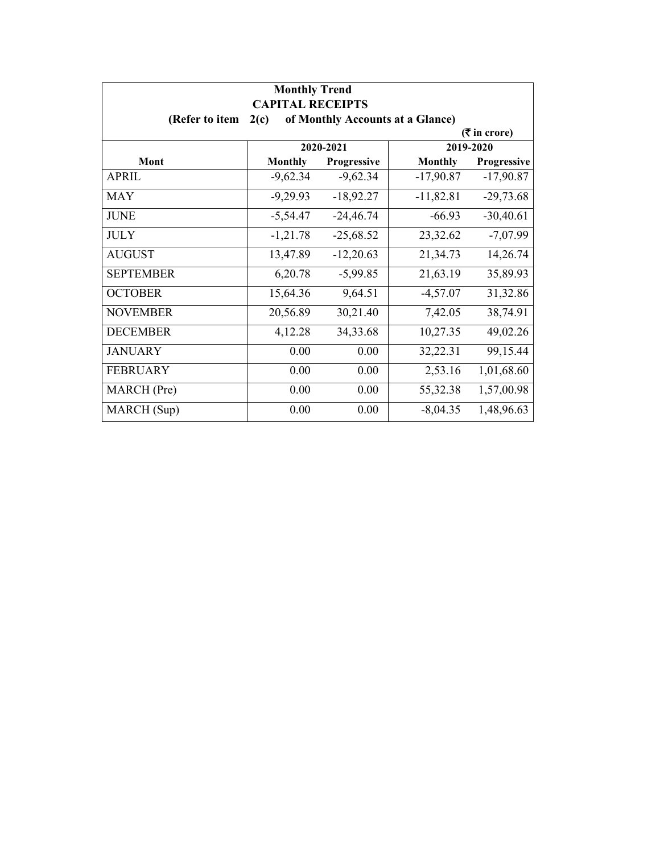| <b>Monthly Trend</b><br><b>CAPITAL RECEIPTS</b> |                |             |                                  |                 |
|-------------------------------------------------|----------------|-------------|----------------------------------|-----------------|
| (Refer to item                                  | 2(c)           |             | of Monthly Accounts at a Glance) |                 |
|                                                 |                |             |                                  | $($ ₹ in crore) |
|                                                 |                | 2020-2021   |                                  | 2019-2020       |
| Mont                                            | <b>Monthly</b> | Progressive | <b>Monthly</b>                   | Progressive     |
| <b>APRIL</b>                                    | $-9,62.34$     | $-9,62.34$  | $-17,90.87$                      | $-17,90.87$     |
| <b>MAY</b>                                      | $-9,29.93$     | $-18,92.27$ | $-11,82.81$                      | $-29,73.68$     |
| <b>JUNE</b>                                     | $-5,54.47$     | $-24,46.74$ | $-66.93$                         | $-30,40.61$     |
| <b>JULY</b>                                     | $-1,21.78$     | $-25,68.52$ | 23,32.62                         | $-7,07.99$      |
| <b>AUGUST</b>                                   | 13,47.89       | $-12,20.63$ | 21,34.73                         | 14,26.74        |
| <b>SEPTEMBER</b>                                | 6,20.78        | $-5,99.85$  | 21,63.19                         | 35,89.93        |
| <b>OCTOBER</b>                                  | 15,64.36       | 9,64.51     | $-4,57.07$                       | 31,32.86        |
| <b>NOVEMBER</b>                                 | 20,56.89       | 30,21.40    | 7,42.05                          | 38,74.91        |
| <b>DECEMBER</b>                                 | 4,12.28        | 34, 33. 68  | 10,27.35                         | 49,02.26        |
| <b>JANUARY</b>                                  | 0.00           | 0.00        | 32,22.31                         | 99,15.44        |
| <b>FEBRUARY</b>                                 | 0.00           | 0.00        | 2,53.16                          | 1,01,68.60      |
| MARCH (Pre)                                     | 0.00           | 0.00        | 55,32.38                         | 1,57,00.98      |
| MARCH (Sup)                                     | 0.00           | 0.00        | $-8,04.35$                       | 1,48,96.63      |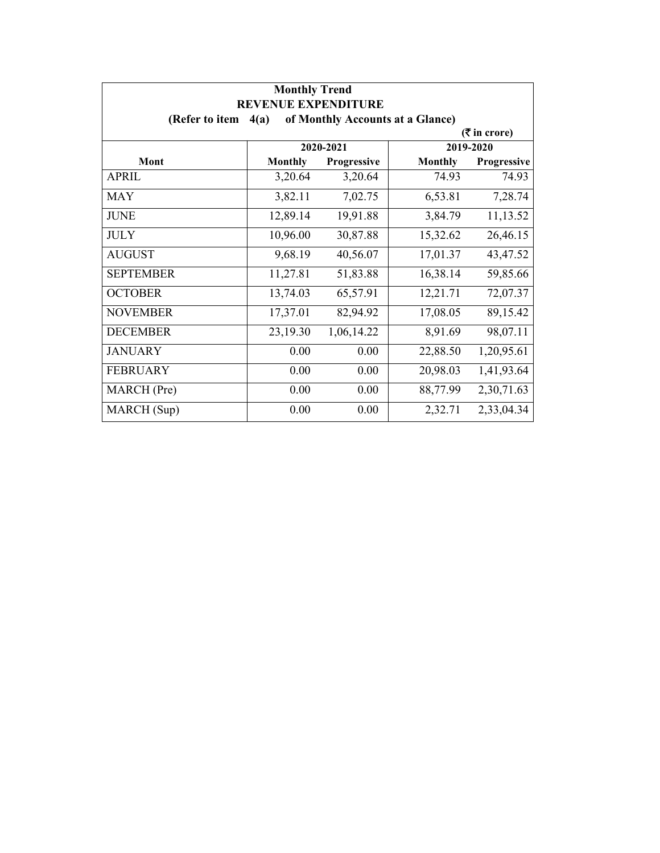| <b>Monthly Trend</b><br><b>REVENUE EXPENDITURE</b> |                |             |                                  |                 |
|----------------------------------------------------|----------------|-------------|----------------------------------|-----------------|
| (Refer to item                                     | 4(a)           |             | of Monthly Accounts at a Glance) |                 |
|                                                    |                |             |                                  | $($ ₹ in crore) |
|                                                    |                | 2020-2021   |                                  | 2019-2020       |
| Mont                                               | <b>Monthly</b> | Progressive | <b>Monthly</b>                   | Progressive     |
| <b>APRIL</b>                                       | 3,20.64        | 3,20.64     | 74.93                            | 74.93           |
| <b>MAY</b>                                         | 3,82.11        | 7,02.75     | 6,53.81                          | 7,28.74         |
| <b>JUNE</b>                                        | 12,89.14       | 19,91.88    | 3,84.79                          | 11,13.52        |
| <b>JULY</b>                                        | 10,96.00       | 30,87.88    | 15,32.62                         | 26,46.15        |
| <b>AUGUST</b>                                      | 9,68.19        | 40,56.07    | 17,01.37                         | 43,47.52        |
| <b>SEPTEMBER</b>                                   | 11,27.81       | 51,83.88    | 16,38.14                         | 59,85.66        |
| <b>OCTOBER</b>                                     | 13,74.03       | 65,57.91    | 12,21.71                         | 72,07.37        |
| <b>NOVEMBER</b>                                    | 17,37.01       | 82,94.92    | 17,08.05                         | 89,15.42        |
| <b>DECEMBER</b>                                    | 23,19.30       | 1,06,14.22  | 8,91.69                          | 98,07.11        |
| <b>JANUARY</b>                                     | 0.00           | 0.00        | 22,88.50                         | 1,20,95.61      |
| <b>FEBRUARY</b>                                    | 0.00           | 0.00        | 20,98.03                         | 1,41,93.64      |
| MARCH (Pre)                                        | 0.00           | 0.00        | 88,77.99                         | 2,30,71.63      |
| MARCH (Sup)                                        | 0.00           | 0.00        | 2,32.71                          | 2,33,04.34      |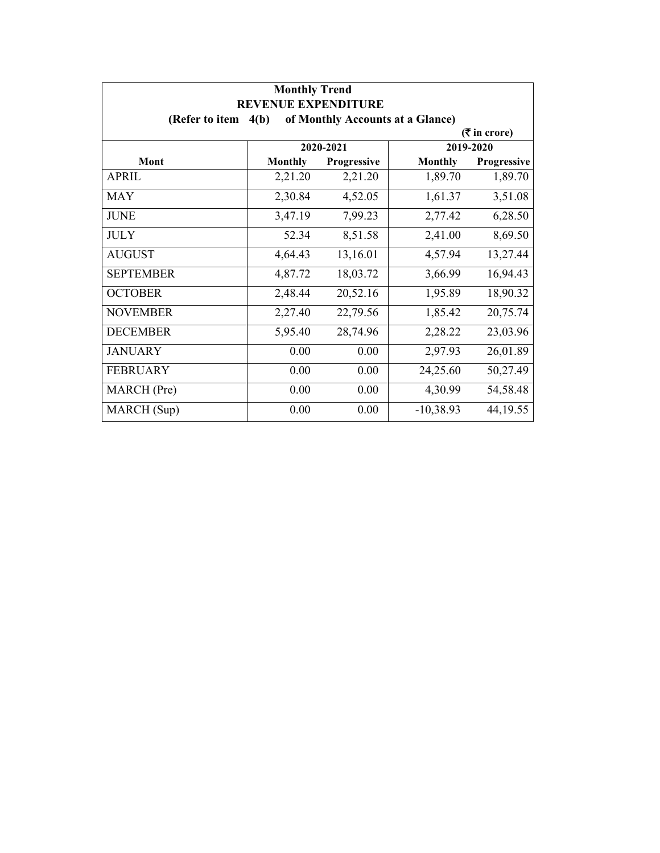| <b>Monthly Trend</b><br><b>REVENUE EXPENDITURE</b> |                |             |                                  |                 |
|----------------------------------------------------|----------------|-------------|----------------------------------|-----------------|
| (Refer to item $4(b)$ )                            |                |             | of Monthly Accounts at a Glance) |                 |
|                                                    |                |             |                                  | $($ ₹ in crore) |
|                                                    |                | 2020-2021   |                                  | 2019-2020       |
| Mont                                               | <b>Monthly</b> | Progressive | <b>Monthly</b>                   | Progressive     |
| <b>APRIL</b>                                       | 2,21.20        | 2,21.20     | 1,89.70                          | 1,89.70         |
| <b>MAY</b>                                         | 2,30.84        | 4,52.05     | 1,61.37                          | 3,51.08         |
| <b>JUNE</b>                                        | 3,47.19        | 7,99.23     | 2,77.42                          | 6,28.50         |
| <b>JULY</b>                                        | 52.34          | 8,51.58     | 2,41.00                          | 8,69.50         |
| <b>AUGUST</b>                                      | 4,64.43        | 13,16.01    | 4,57.94                          | 13,27.44        |
| <b>SEPTEMBER</b>                                   | 4,87.72        | 18,03.72    | 3,66.99                          | 16,94.43        |
| <b>OCTOBER</b>                                     | 2,48.44        | 20,52.16    | 1,95.89                          | 18,90.32        |
| <b>NOVEMBER</b>                                    | 2,27.40        | 22,79.56    | 1,85.42                          | 20,75.74        |
| <b>DECEMBER</b>                                    | 5,95.40        | 28,74.96    | 2,28.22                          | 23,03.96        |
| <b>JANUARY</b>                                     | 0.00           | 0.00        | 2,97.93                          | 26,01.89        |
| <b>FEBRUARY</b>                                    | 0.00           | 0.00        | 24,25.60                         | 50,27.49        |
| MARCH (Pre)                                        | 0.00           | 0.00        | 4,30.99                          | 54,58.48        |
| MARCH (Sup)                                        | 0.00           | 0.00        | $-10,38.93$                      | 44, 19.55       |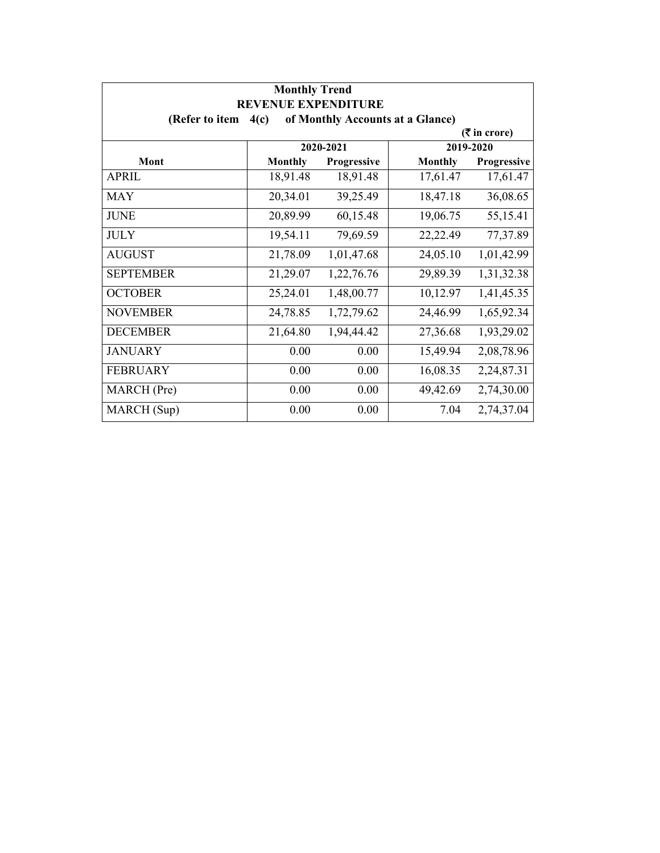| <b>Monthly Trend</b><br><b>REVENUE EXPENDITURE</b> |                 |             |                                  |             |  |  |
|----------------------------------------------------|-----------------|-------------|----------------------------------|-------------|--|--|
| (Refer to item                                     | 4(c)            |             | of Monthly Accounts at a Glance) |             |  |  |
|                                                    | $($ ₹ in crore) |             |                                  |             |  |  |
|                                                    |                 | 2020-2021   |                                  | 2019-2020   |  |  |
| Mont                                               | <b>Monthly</b>  | Progressive | <b>Monthly</b>                   | Progressive |  |  |
| <b>APRIL</b>                                       | 18,91.48        | 18,91.48    | 17,61.47                         | 17,61.47    |  |  |
| <b>MAY</b>                                         | 20,34.01        | 39,25.49    | 18,47.18                         | 36,08.65    |  |  |
| <b>JUNE</b>                                        | 20,89.99        | 60,15.48    | 19,06.75                         | 55,15.41    |  |  |
| <b>JULY</b>                                        | 19,54.11        | 79,69.59    | 22,22.49                         | 77,37.89    |  |  |
| <b>AUGUST</b>                                      | 21,78.09        | 1,01,47.68  | 24,05.10                         | 1,01,42.99  |  |  |
| <b>SEPTEMBER</b>                                   | 21,29.07        | 1,22,76.76  | 29,89.39                         | 1,31,32.38  |  |  |
| <b>OCTOBER</b>                                     | 25,24.01        | 1,48,00.77  | 10,12.97                         | 1,41,45.35  |  |  |
| <b>NOVEMBER</b>                                    | 24,78.85        | 1,72,79.62  | 24,46.99                         | 1,65,92.34  |  |  |
| <b>DECEMBER</b>                                    | 21,64.80        | 1,94,44.42  | 27,36.68                         | 1,93,29.02  |  |  |
| <b>JANUARY</b>                                     | 0.00            | 0.00        | 15,49.94                         | 2,08,78.96  |  |  |
| <b>FEBRUARY</b>                                    | 0.00            | 0.00        | 16,08.35                         | 2,24,87.31  |  |  |
| MARCH (Pre)                                        | 0.00            | 0.00        | 49,42.69                         | 2,74,30.00  |  |  |
| MARCH (Sup)                                        | 0.00            | 0.00        | 7.04                             | 2,74,37.04  |  |  |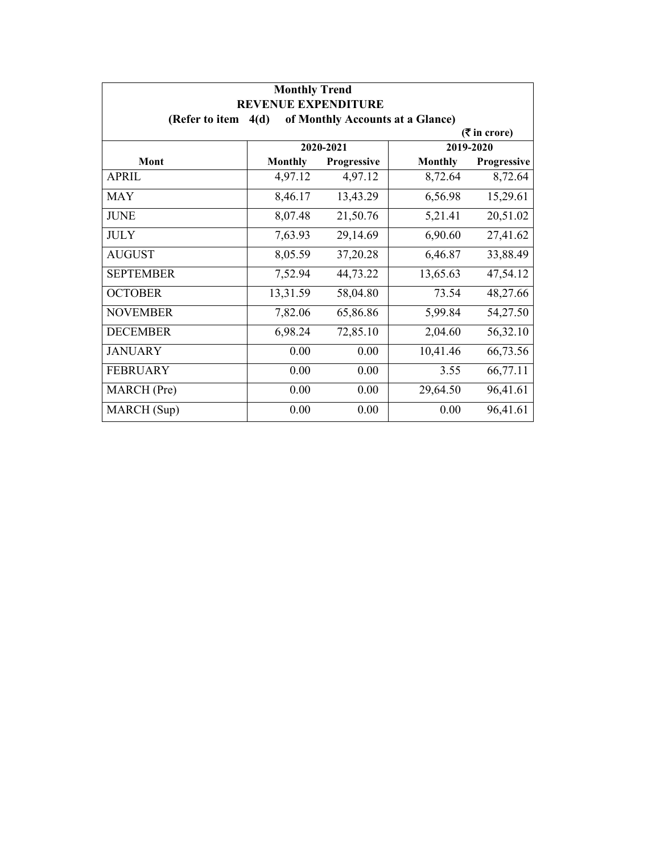| <b>Monthly Trend</b><br><b>REVENUE EXPENDITURE</b> |                                                           |                    |                |                 |  |
|----------------------------------------------------|-----------------------------------------------------------|--------------------|----------------|-----------------|--|
|                                                    | of Monthly Accounts at a Glance)<br>(Refer to item $4(d)$ |                    |                |                 |  |
|                                                    |                                                           |                    |                | $($ ₹ in crore) |  |
|                                                    |                                                           | 2020-2021          |                | 2019-2020       |  |
| Mont                                               | <b>Monthly</b>                                            | <b>Progressive</b> | <b>Monthly</b> | Progressive     |  |
| APRIL                                              | 4,97.12                                                   | 4,97.12            | 8,72.64        | 8,72.64         |  |
| <b>MAY</b>                                         | 8,46.17                                                   | 13,43.29           | 6,56.98        | 15,29.61        |  |
| <b>JUNE</b>                                        | 8,07.48                                                   | 21,50.76           | 5,21.41        | 20,51.02        |  |
| <b>JULY</b>                                        | 7,63.93                                                   | 29,14.69           | 6,90.60        | 27,41.62        |  |
| <b>AUGUST</b>                                      | 8,05.59                                                   | 37,20.28           | 6,46.87        | 33,88.49        |  |
| <b>SEPTEMBER</b>                                   | 7,52.94                                                   | 44,73.22           | 13,65.63       | 47,54.12        |  |
| <b>OCTOBER</b>                                     | 13,31.59                                                  | 58,04.80           | 73.54          | 48,27.66        |  |
| <b>NOVEMBER</b>                                    | 7,82.06                                                   | 65,86.86           | 5,99.84        | 54,27.50        |  |
| <b>DECEMBER</b>                                    | 6,98.24                                                   | 72,85.10           | 2,04.60        | 56,32.10        |  |
| <b>JANUARY</b>                                     | 0.00                                                      | 0.00               | 10,41.46       | 66,73.56        |  |
| <b>FEBRUARY</b>                                    | 0.00                                                      | 0.00               | 3.55           | 66,77.11        |  |
| MARCH (Pre)                                        | 0.00                                                      | 0.00               | 29,64.50       | 96,41.61        |  |
| MARCH (Sup)                                        | 0.00                                                      | 0.00               | 0.00           | 96,41.61        |  |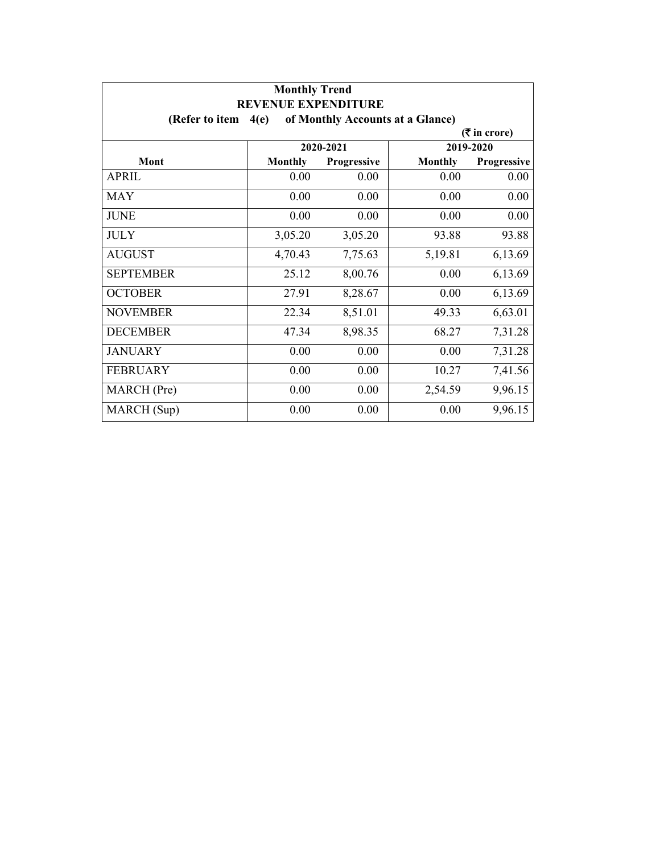| <b>Monthly Trend</b><br><b>REVENUE EXPENDITURE</b> |                |             |                                  |                |
|----------------------------------------------------|----------------|-------------|----------------------------------|----------------|
| (Refer to item                                     | 4(e)           |             | of Monthly Accounts at a Glance) |                |
|                                                    |                |             |                                  | $(5$ in crore) |
|                                                    |                | 2020-2021   |                                  | 2019-2020      |
| Mont                                               | <b>Monthly</b> | Progressive | <b>Monthly</b>                   | Progressive    |
| <b>APRIL</b>                                       | 0.00           | 0.00        | 0.00                             | 0.00           |
| <b>MAY</b>                                         | 0.00           | 0.00        | 0.00                             | 0.00           |
| <b>JUNE</b>                                        | 0.00           | 0.00        | 0.00                             | 0.00           |
| <b>JULY</b>                                        | 3,05.20        | 3,05.20     | 93.88                            | 93.88          |
| <b>AUGUST</b>                                      | 4,70.43        | 7,75.63     | 5,19.81                          | 6,13.69        |
| <b>SEPTEMBER</b>                                   | 25.12          | 8,00.76     | 0.00                             | 6,13.69        |
| <b>OCTOBER</b>                                     | 27.91          | 8,28.67     | 0.00                             | 6,13.69        |
| <b>NOVEMBER</b>                                    | 22.34          | 8,51.01     | 49.33                            | 6,63.01        |
| <b>DECEMBER</b>                                    | 47.34          | 8,98.35     | 68.27                            | 7,31.28        |
| <b>JANUARY</b>                                     | 0.00           | 0.00        | 0.00                             | 7,31.28        |
| <b>FEBRUARY</b>                                    | 0.00           | 0.00        | 10.27                            | 7,41.56        |
| MARCH (Pre)                                        | 0.00           | 0.00        | 2,54.59                          | 9,96.15        |
| MARCH (Sup)                                        | 0.00           | 0.00        | 0.00                             | 9,96.15        |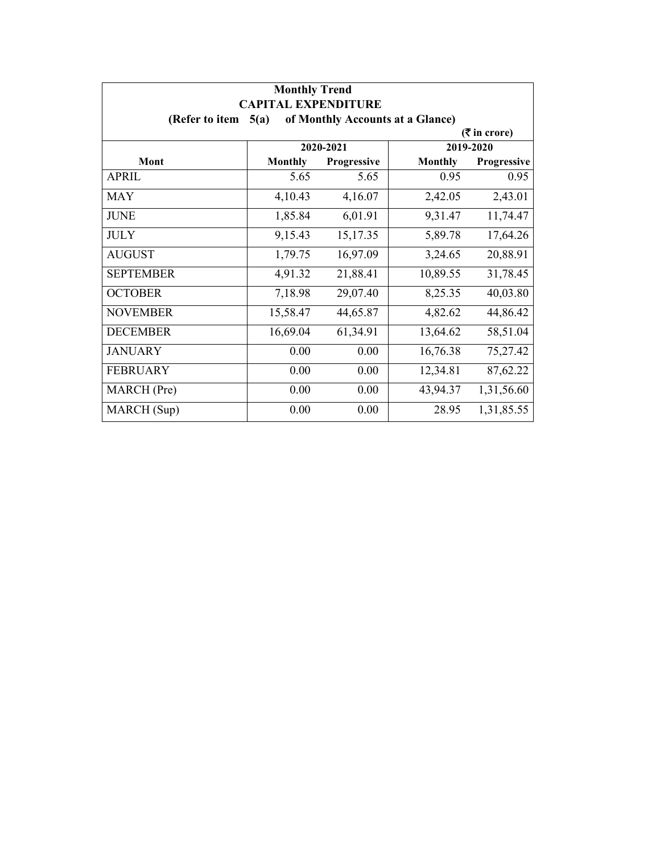| <b>Monthly Trend</b><br><b>CAPITAL EXPENDITURE</b><br>of Monthly Accounts at a Glance)<br>(Refer to item<br>5(a) |                |             |                |             |  |  |  |
|------------------------------------------------------------------------------------------------------------------|----------------|-------------|----------------|-------------|--|--|--|
|                                                                                                                  |                |             |                |             |  |  |  |
|                                                                                                                  | 2020-2021      |             |                | 2019-2020   |  |  |  |
| Mont                                                                                                             | <b>Monthly</b> | Progressive | <b>Monthly</b> | Progressive |  |  |  |
| <b>APRIL</b>                                                                                                     | 5.65           | 5.65        | 0.95           | 0.95        |  |  |  |
| <b>MAY</b>                                                                                                       | 4,10.43        | 4,16.07     | 2,42.05        | 2,43.01     |  |  |  |
| <b>JUNE</b>                                                                                                      | 1,85.84        | 6,01.91     | 9,31.47        | 11,74.47    |  |  |  |
| <b>JULY</b>                                                                                                      | 9,15.43        | 15,17.35    | 5,89.78        | 17,64.26    |  |  |  |
| <b>AUGUST</b>                                                                                                    | 1,79.75        | 16,97.09    | 3,24.65        | 20,88.91    |  |  |  |
| <b>SEPTEMBER</b>                                                                                                 | 4,91.32        | 21,88.41    | 10,89.55       | 31,78.45    |  |  |  |
| <b>OCTOBER</b>                                                                                                   | 7,18.98        | 29,07.40    | 8,25.35        | 40,03.80    |  |  |  |
| <b>NOVEMBER</b>                                                                                                  | 15,58.47       | 44,65.87    | 4,82.62        | 44,86.42    |  |  |  |
| <b>DECEMBER</b>                                                                                                  | 16,69.04       | 61,34.91    | 13,64.62       | 58,51.04    |  |  |  |
| <b>JANUARY</b>                                                                                                   | 0.00           | 0.00        | 16,76.38       | 75,27.42    |  |  |  |
| <b>FEBRUARY</b>                                                                                                  | 0.00           | 0.00        | 12,34.81       | 87,62.22    |  |  |  |
| MARCH (Pre)                                                                                                      | 0.00           | 0.00        | 43,94.37       | 1,31,56.60  |  |  |  |
| MARCH (Sup)                                                                                                      | 0.00           | 0.00        | 28.95          | 1,31,85.55  |  |  |  |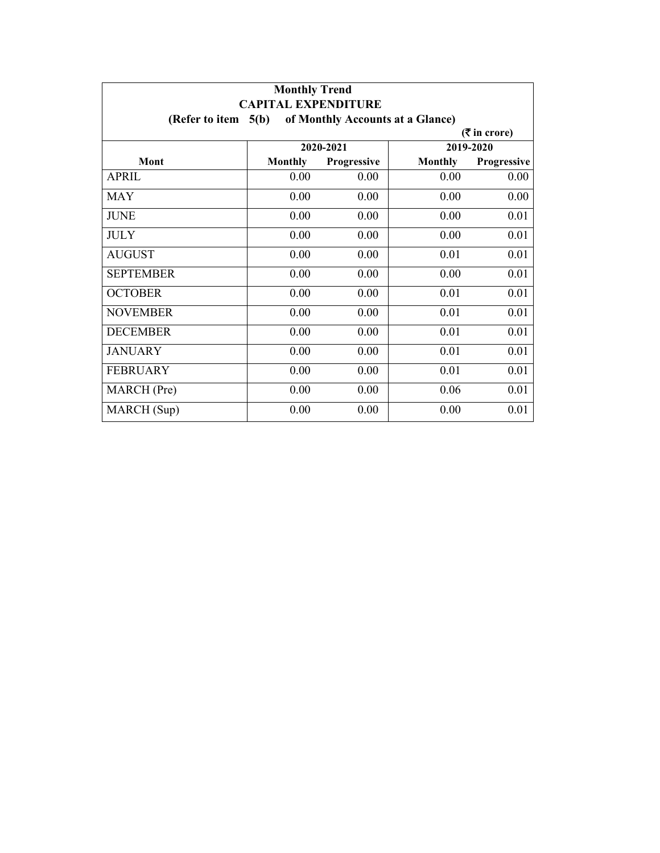| <b>Monthly Trend</b><br><b>CAPITAL EXPENDITURE</b>          |                |             |                |             |  |  |  |
|-------------------------------------------------------------|----------------|-------------|----------------|-------------|--|--|--|
| (Refer to item $5(b)$ )<br>of Monthly Accounts at a Glance) |                |             |                |             |  |  |  |
| $($ ₹ in crore)                                             |                |             |                |             |  |  |  |
|                                                             | 2020-2021      |             |                | 2019-2020   |  |  |  |
| Mont                                                        | <b>Monthly</b> | Progressive | <b>Monthly</b> | Progressive |  |  |  |
| <b>APRIL</b>                                                | 0.00           | 0.00        | 0.00           | 0.00        |  |  |  |
| <b>MAY</b>                                                  | 0.00           | 0.00        | 0.00           | 0.00        |  |  |  |
| <b>JUNE</b>                                                 | 0.00           | 0.00        | 0.00           | 0.01        |  |  |  |
| <b>JULY</b>                                                 | 0.00           | 0.00        | 0.00           | 0.01        |  |  |  |
| <b>AUGUST</b>                                               | 0.00           | 0.00        | 0.01           | 0.01        |  |  |  |
| <b>SEPTEMBER</b>                                            | 0.00           | 0.00        | 0.00           | 0.01        |  |  |  |
| <b>OCTOBER</b>                                              | 0.00           | 0.00        | 0.01           | 0.01        |  |  |  |
| <b>NOVEMBER</b>                                             | 0.00           | 0.00        | 0.01           | 0.01        |  |  |  |
| <b>DECEMBER</b>                                             | 0.00           | 0.00        | 0.01           | 0.01        |  |  |  |
| <b>JANUARY</b>                                              | 0.00           | 0.00        | 0.01           | 0.01        |  |  |  |
| <b>FEBRUARY</b>                                             | 0.00           | 0.00        | 0.01           | 0.01        |  |  |  |
| MARCH (Pre)                                                 | 0.00           | 0.00        | 0.06           | 0.01        |  |  |  |
| MARCH (Sup)                                                 | 0.00           | 0.00        | 0.00           | 0.01        |  |  |  |